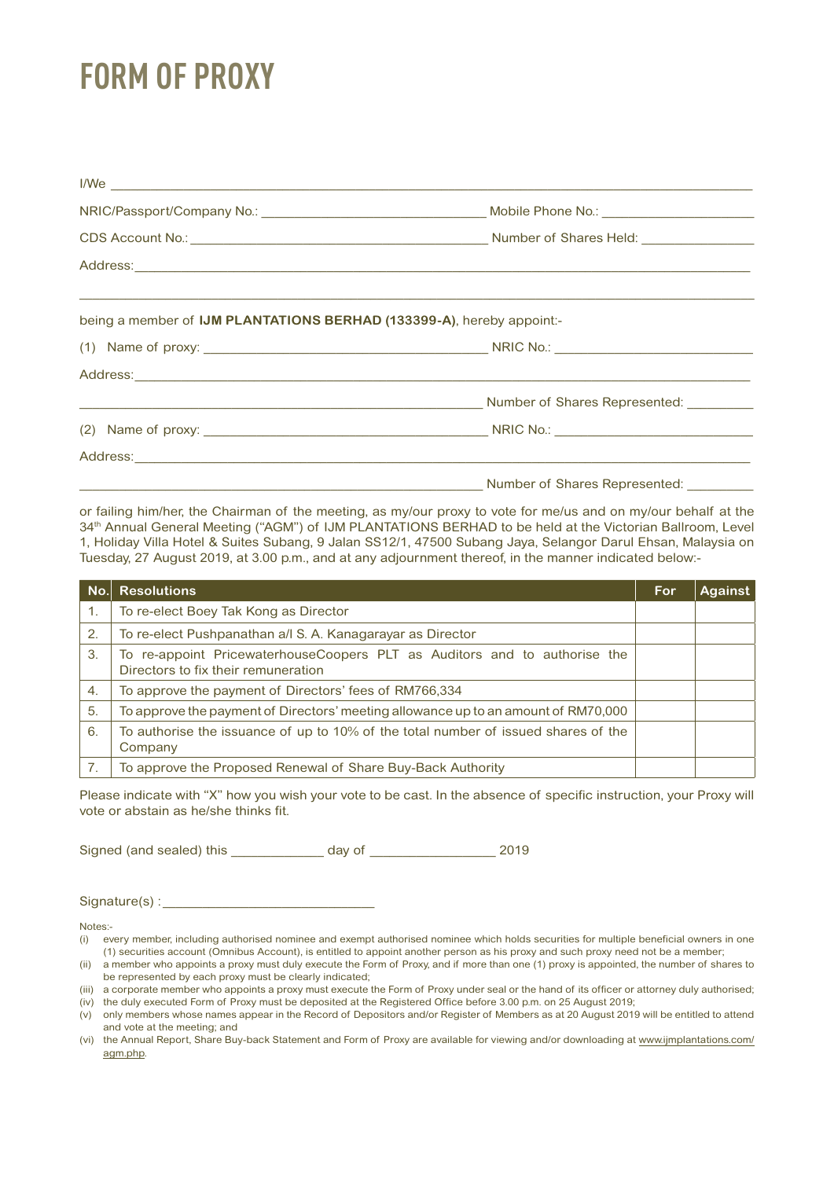## **FORM OF PROXY**

| $I/We$ $\qquad \qquad$                                                |                                         |
|-----------------------------------------------------------------------|-----------------------------------------|
|                                                                       |                                         |
|                                                                       |                                         |
|                                                                       |                                         |
| being a member of IJM PLANTATIONS BERHAD (133399-A), hereby appoint:- |                                         |
|                                                                       |                                         |
|                                                                       |                                         |
|                                                                       |                                         |
|                                                                       |                                         |
|                                                                       |                                         |
|                                                                       | Number of Shares Represented: _________ |

or failing him/her, the Chairman of the meeting, as my/our proxy to vote for me/us and on my/our behalf at the 34<sup>th</sup> Annual General Meeting ("AGM") of IJM PLANTATIONS BERHAD to be held at the Victorian Ballroom, Level 1, Holiday Villa Hotel & Suites Subang, 9 Jalan SS12/1, 47500 Subang Jaya, Selangor Darul Ehsan, Malaysia on Tuesday, 27 August 2019, at 3.00 p.m., and at any adjournment thereof, in the manner indicated below:-

| No. | <b>Resolutions</b>                                                                                               | <b>For</b> | <b>Against</b> |
|-----|------------------------------------------------------------------------------------------------------------------|------------|----------------|
| 1.  | To re-elect Boey Tak Kong as Director                                                                            |            |                |
| 2.  | To re-elect Pushpanathan a/l S. A. Kanagarayar as Director                                                       |            |                |
| 3.  | To re-appoint PricewaterhouseCoopers PLT as Auditors and to authorise the<br>Directors to fix their remuneration |            |                |
| 4.  | To approve the payment of Directors' fees of RM766,334                                                           |            |                |
| 5.  | To approve the payment of Directors' meeting allowance up to an amount of RM70,000                               |            |                |
| 6.  | To authorise the issuance of up to 10% of the total number of issued shares of the<br>Company                    |            |                |
|     | To approve the Proposed Renewal of Share Buy-Back Authority                                                      |            |                |

Please indicate with "X" how you wish your vote to be cast. In the absence of specific instruction, your Proxy will vote or abstain as he/she thinks fit.

Signed (and sealed) this \_\_\_\_\_\_\_\_\_\_\_\_\_ day of \_\_\_\_\_\_\_\_\_\_\_\_\_\_\_\_\_\_ 2019

 $Signature(s):$ 

Notes:-

(ii) a member who appoints a proxy must duly execute the Form of Proxy, and if more than one (1) proxy is appointed, the number of shares to be represented by each proxy must be clearly indicated;

<sup>(</sup>i) every member, including authorised nominee and exempt authorised nominee which holds securities for multiple beneficial owners in one (1) securities account (Omnibus Account), is entitled to appoint another person as his proxy and such proxy need not be a member;

<sup>(</sup>iii) a corporate member who appoints a proxy must execute the Form of Proxy under seal or the hand of its officer or attorney duly authorised;

<sup>(</sup>iv) the duly executed Form of Proxy must be deposited at the Registered Office before 3.00 p.m. on 25 August 2019; (v) only members whose names appear in the Record of Depositors and/or Register of Members as at 20 August 2019 will be entitled to attend and vote at the meeting; and

<sup>(</sup>vi) the Annual Report, Share Buy-back Statement and Form of Proxy are available for viewing and/or downloading at www.ijmplantations.com/ agm.php.